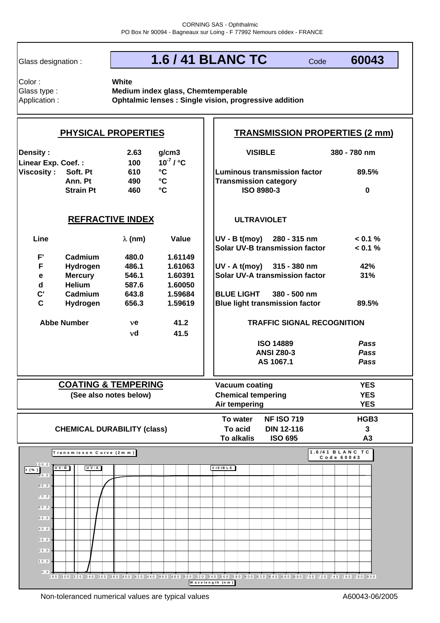Glass designation :

# **1.6 / 41 BLANC TC**

Code **60043**

Color : Glass type : Application : **White**

**Medium index glass, Chemtemperable Ophtalmic lenses : Single vision, progressive addition**

#### **Density : 2.63 g/cm3** 100  $10^{-7}$  /  $^{\circ}$ C **610 °C 89.5% Luminous transmission factor Ann. Pt 490 °C Strain Pt 460 °C 0 ISO 8980-3 Line λ (nm) Value | |UV - B t(moy) 280 - 315 nm < 0.1 % < 0.1 % F' Cadmium 480.0 1.61149 F Hydrogen 486.1 1.61063 42% UV - A t(moy) 315 - 380 nm e Mercury 546.1 1.60391 | |Solar UV-A transmission factor 31% d Helium 587.6 1.60050 C' Cadmium 643.8 1.59684 C** Hydrogen 656.3 1.59619 | |Blue light transmission factor 89.5% ν**e 41.2** ν**d 41.5** *Pass Pass Pass* **YES YES YES To water NF ISO 719 HGB3 To acid DIN 12-116 3 To alkalis ISO 695 A3 Transmission category PHYSICAL PROPERTIES TRANSMISSION PROPERTIES (2 mm) Linear Exp. Coef. : 380 - 780 nm Viscosity : Soft. Pt REFRACTIVE INDEX Abbe Number VISIBLE ULTRAVIOLET Solar UV-B transmission factor BLUE LIGHT 380 - 500 nm ANSI Z80-3 AS 1067.1 TRAFFIC SIGNAL RECOGNITION ISO 14889 Vacuum coating Chemical tempering Air tempering (See also notes below) CHEMICAL DURABILITY (class) COATING & TEMPERING T ra n s m is s o n C u rv e (2 m m )**  $0, 0$  .  $10,0$  $20,0$  $30,0$ 4 0 ,0  $500$ 6 0 ,0  $70,0$ 8 0 ,0 9 0 ,0 1 0 0 ,0 **t (% )** 280 300 320 340 360 380 400 420 440 460 480 500 520 540 560 580 600 620 640 660 680 700 720 740 760 780 800 **W a v e le n g th (n m ) 1 .6 /4 1 B L A N C T C Code 60043 U V -B U V -A V IS IB L E**

Non-toleranced numerical values are typical values A60043-06/2005